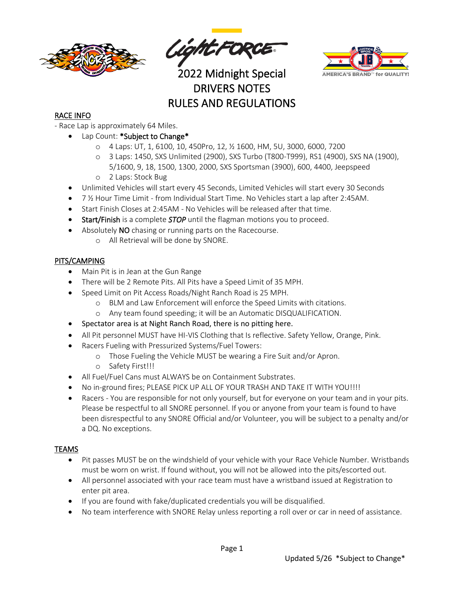

Sight FORCE



2022 Midnight Special DRIVERS NOTES RULES AND REGULATIONS

### RACE INFO

- Race Lap is approximately 64 Miles.
	- Lap Count: \*Subject to Change\*
		- o 4 Laps: UT, 1, 6100, 10, 450Pro, 12, ½ 1600, HM, 5U, 3000, 6000, 7200
		- o 3 Laps: 1450, SXS Unlimited (2900), SXS Turbo (T800-T999), RS1 (4900), SXS NA (1900), 5/1600, 9, 18, 1500, 1300, 2000, SXS Sportsman (3900), 600, 4400, Jeepspeed o 2 Laps: Stock Bug
	- Unlimited Vehicles will start every 45 Seconds, Limited Vehicles will start every 30 Seconds
	- 7 ½ Hour Time Limit from Individual Start Time. No Vehicles start a lap after 2:45AM.
	- Start Finish Closes at 2:45AM No Vehicles will be released after that time.
	- Start/Finish is a complete *STOP* until the flagman motions you to proceed.
	- Absolutely NO chasing or running parts on the Racecourse.
		- o All Retrieval will be done by SNORE.

#### PITS/CAMPING

- Main Pit is in Jean at the Gun Range
- There will be 2 Remote Pits. All Pits have a Speed Limit of 35 MPH.
- Speed Limit on Pit Access Roads/Night Ranch Road is 25 MPH.
	- o BLM and Law Enforcement will enforce the Speed Limits with citations.
	- o Any team found speeding; it will be an Automatic DISQUALIFICATION.
- Spectator area is at Night Ranch Road, there is no pitting here.
- All Pit personnel MUST have HI-VIS Clothing that Is reflective. Safety Yellow, Orange, Pink.
- Racers Fueling with Pressurized Systems/Fuel Towers:
	- o Those Fueling the Vehicle MUST be wearing a Fire Suit and/or Apron.
	- o Safety First!!!
- All Fuel/Fuel Cans must ALWAYS be on Containment Substrates.
- No in-ground fires; PLEASE PICK UP ALL OF YOUR TRASH AND TAKE IT WITH YOU!!!!
- Racers You are responsible for not only yourself, but for everyone on your team and in your pits. Please be respectful to all SNORE personnel. If you or anyone from your team is found to have been disrespectful to any SNORE Official and/or Volunteer, you will be subject to a penalty and/or a DQ. No exceptions.

#### TEAMS

- Pit passes MUST be on the windshield of your vehicle with your Race Vehicle Number. Wristbands must be worn on wrist. If found without, you will not be allowed into the pits/escorted out.
- All personnel associated with your race team must have a wristband issued at Registration to enter pit area.
- If you are found with fake/duplicated credentials you will be disqualified.
- No team interference with SNORE Relay unless reporting a roll over or car in need of assistance.